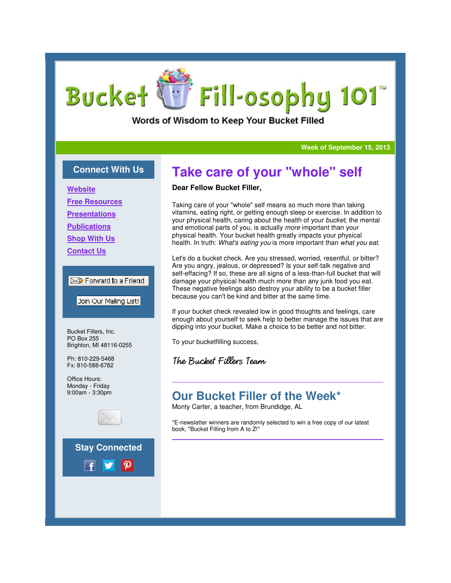# Fill-osophy 101 **Bucket**

Words of Wisdom to Keep Your Bucket Filled

**Week of September 15, 2013**

### **Connect With Us**

**Website**

**Free Resources**

**Presentations**

**Publications**

**Shop With Us**

**Contact Us**

#### Forward to a Friend

Join Our Mailing List!

Bucket Fillers, Inc. PO Box 255 Brighton, MI 48116-0255

Ph: 810-229-5468 Fx: 810-588-6782

Office Hours: Monday - Friday 9:00am - 3:30pm



**Stay Connected**



# **Take care of your "whole" self**

#### **Dear Fellow Bucket Filler,**

Taking care of your "whole" self means so much more than taking vitamins, eating right, or getting enough sleep or exercise. In addition to your physical health, caring about the health of your bucket, the mental and emotional parts of you, is actually more important than your physical health. Your bucket health greatly impacts your physical health. In truth: What's eating you is more important than what you eat.

Let's do a bucket check. Are you stressed, worried, resentful, or bitter? Are you angry, jealous, or depressed? Is your self-talk negative and self-effacing? If so, these are all signs of a less-than-full bucket that will damage your physical health much more than any junk food you eat. These negative feelings also destroy your ability to be a bucket filler because you can't be kind and bitter at the same time.

If your bucket check revealed low in good thoughts and feelings, care enough about yourself to seek help to better manage the issues that are dipping into your bucket. Make a choice to be better and not bitter.

To your bucketfilling success,

The Bucket Fillers Team

### **Our Bucket Filler of the Week\***

Monty Carter, a teacher, from Brundidge, AL

\*E-newsletter winners are randomly selected to win a free copy of our latest book, "Bucket Filling from A to Z!"